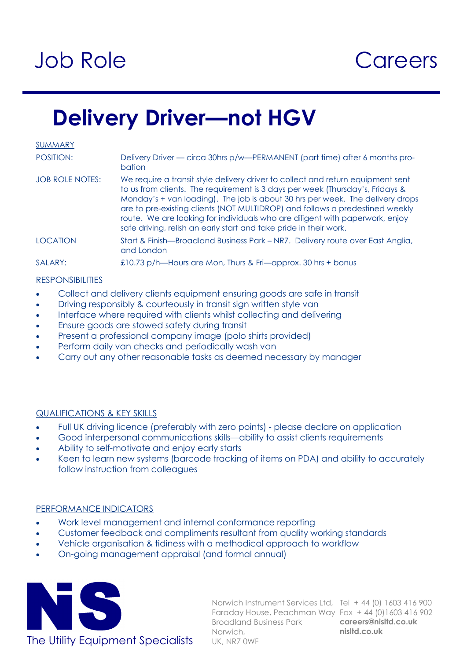# Job Role

### **Careers**

### **Delivery Driver—not HGV**

SUMMARY

| POSITION:      | Delivery Driver — circa 30hrs p/w—PERMANENT (part time) after 6 months pro-<br><b>bation</b>                  |
|----------------|---------------------------------------------------------------------------------------------------------------|
| 10000010101000 | AAAA waxaa dadka wadanka dhalka ka mid ah dhalka wadan wadanka dhalka wadanka waxaa ka dhalka wadanka wadanka |
|                |                                                                                                               |

- JOB ROLE NOTES: We require a transit style delivery driver to collect and return equipment sent to us from clients. The requirement is 3 days per week (Thursday's, Fridays & Monday's + van loading). The job is about 30 hrs per week. The delivery drops are to pre-existing clients (NOT MULTIDROP) and follows a predestined weekly route. We are looking for individuals who are diligent with paperwork, enjoy safe driving, relish an early start and take pride in their work.
- LOCATION Start & Finish—Broadland Business Park NR7. Delivery route over East Anglia, and London

### SALARY: £10.73 p/h—Hours are Mon, Thurs & Fri—approx. 30 hrs + bonus

### **RESPONSIBILITIES**

- Collect and delivery clients equipment ensuring goods are safe in transit
- **•** Driving responsibly & courteously in transit sign written style van
- Interface where required with clients whilst collecting and delivering
- Ensure goods are stowed safety during transit
- Present a professional company image (polo shirts provided)
- Perform daily van checks and periodically wash van
- Carry out any other reasonable tasks as deemed necessary by manager

### QUALIFICATIONS & KEY SKILLS

- Full UK driving licence (preferably with zero points) please declare on application
- Good interpersonal communications skills—ability to assist clients requirements
- Ability to self-motivate and enjoy early starts
- Keen to learn new systems (barcode tracking of items on PDA) and ability to accurately follow instruction from colleagues

### PERFORMANCE INDICATORS

- Work level management and internal conformance reporting
- Customer feedback and compliments resultant from quality working standards
- Vehicle organisation & tidiness with a methodical approach to workflow
- On-going management appraisal (and formal annual)



Norwich Instrument Services Ltd, Tel + 44 (0) 1603 416 900 Faraday House, Peachman Way Fax + 44 (0)1603 416 902 **careers@nisltd.co.uk nisltd.co.uk**  Broadland Business Park Norwich,

The Utility Equipment Specialists UK, NR7 OWF